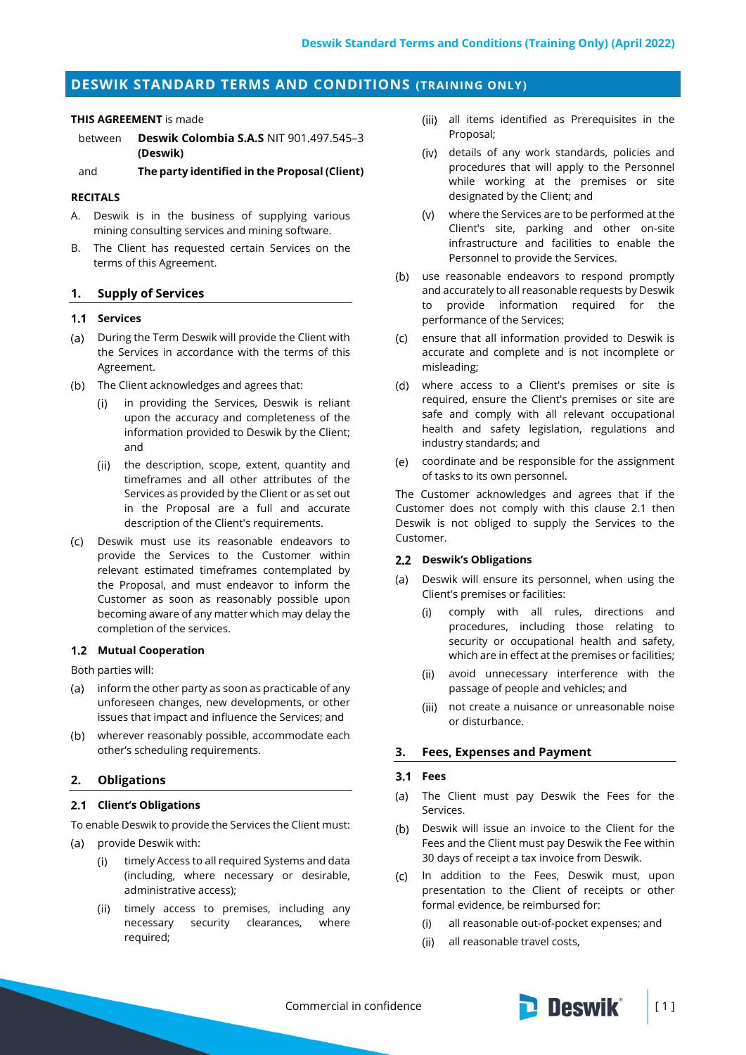# **DESWIK STANDARD TERMS AND CONDITIONS (TRAINING ONLY)**

### **THIS AGREEMENT** is made

and **The party identified in the Proposal (Client)**

## **RECITALS**

- A. Deswik is in the business of supplying various mining consulting services and mining software.
- B. The Client has requested certain Services on the terms of this Agreement.

## **1. Supply of Services**

## **1.1 Services**

- (a) During the Term Deswik will provide the Client with the Services in accordance with the terms of this Agreement.
- (b) The Client acknowledges and agrees that:
	- in providing the Services, Deswik is reliant upon the accuracy and completeness of the information provided to Deswik by the Client; and
	- the description, scope, extent, quantity and  $(ii)$ timeframes and all other attributes of the Services as provided by the Client or as set out in the Proposal are a full and accurate description of the Client's requirements.
- Deswik must use its reasonable endeavors to provide the Services to the Customer within relevant estimated timeframes contemplated by the Proposal, and must endeavor to inform the Customer as soon as reasonably possible upon becoming aware of any matter which may delay the completion of the services.

## **Mutual Cooperation**

Both parties will:

- (a) inform the other party as soon as practicable of any unforeseen changes, new developments, or other issues that impact and influence the Services; and
- wherever reasonably possible, accommodate each other's scheduling requirements.

## **2. Obligations**

## <span id="page-0-0"></span>**Client's Obligations**

To enable Deswik to provide the Services the Client must:

- provide Deswik with:  $(a)$ 
	- $(i)$ timely Access to all required Systems and data (including, where necessary or desirable, administrative access);
	- (ii) timely access to premises, including any necessary security clearances, where required;
- all items identified as Prerequisites in the Proposal;
- details of any work standards, policies and procedures that will apply to the Personnel while working at the premises or site designated by the Client; and
- where the Services are to be performed at the Client's site, parking and other on-site infrastructure and facilities to enable the Personnel to provide the Services.
- (b) use reasonable endeavors to respond promptly and accurately to all reasonable requests by Deswik to provide information required for the performance of the Services;
- $\left( c\right)$ ensure that all information provided to Deswik is accurate and complete and is not incomplete or misleading;
- where access to a Client's premises or site is  $(d)$ required, ensure the Client's premises or site are safe and comply with all relevant occupational health and safety legislation, regulations and industry standards; and
- coordinate and be responsible for the assignment  $(e)$ of tasks to its own personnel.

The Customer acknowledges and agrees that if the Customer does not comply with this clause [2.1](#page-0-0) then Deswik is not obliged to supply the Services to the Customer.

#### **Deswik's Obligations**

- Deswik will ensure its personnel, when using the Client's premises or facilities:
	- $(i)$ comply with all rules, directions and procedures, including those relating to security or occupational health and safety, which are in effect at the premises or facilities;
	- (ii) avoid unnecessary interference with the passage of people and vehicles; and
	- (iii) not create a nuisance or unreasonable noise or disturbance.

## **3. Fees, Expenses and Payment**

#### **Fees**

- The Client must pay Deswik the Fees for the  $(a)$ Services.
- $(b)$ Deswik will issue an invoice to the Client for the Fees and the Client must pay Deswik the Fee within 30 days of receipt a tax invoice from Deswik.
- In addition to the Fees, Deswik must, upon presentation to the Client of receipts or other formal evidence, be reimbursed for:
	- all reasonable out-of-pocket expenses; and  $(i)$
	- $(ii)$ all reasonable travel costs,



between **Deswik Colombia S.A.S** NIT 901.497.545–3 **(Deswik)**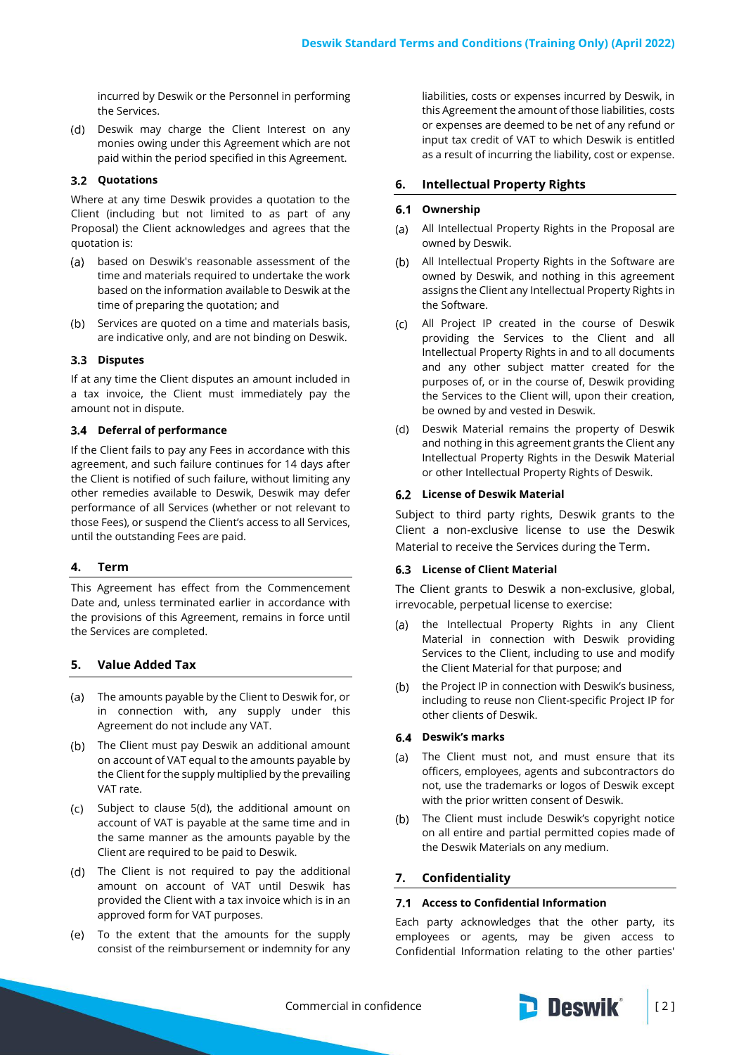incurred by Deswik or the Personnel in performing the Services.

(d) Deswik may charge the Client Interest on any monies owing under this Agreement which are not paid within the period specified in this Agreement.

## **Quotations**

Where at any time Deswik provides a quotation to the Client (including but not limited to as part of any Proposal) the Client acknowledges and agrees that the quotation is:

- (a) based on Deswik's reasonable assessment of the time and materials required to undertake the work based on the information available to Deswik at the time of preparing the quotation; and
- (b) Services are quoted on a time and materials basis, are indicative only, and are not binding on Deswik.

#### 3.3 Disputes

If at any time the Client disputes an amount included in a tax invoice, the Client must immediately pay the amount not in dispute.

### **Deferral of performance**

If the Client fails to pay any Fees in accordance with this agreement, and such failure continues for 14 days after the Client is notified of such failure, without limiting any other remedies available to Deswik, Deswik may defer performance of all Services (whether or not relevant to those Fees), or suspend the Client's access to all Services, until the outstanding Fees are paid.

## **4. Term**

This Agreement has effect from the Commencement Date and, unless terminated earlier in accordance with the provisions of this Agreement, remains in force until the Services are completed.

## **5. Value Added Tax**

- The amounts payable by the Client to Deswik for, or in connection with, any supply under this Agreement do not include any VAT.
- (b) The Client must pay Deswik an additional amount on account of VAT equal to the amounts payable by the Client for the supply multiplied by the prevailing VAT rate.
- Subject to clause 5(d), the additional amount on account of VAT is payable at the same time and in the same manner as the amounts payable by the Client are required to be paid to Deswik.
- The Client is not required to pay the additional amount on account of VAT until Deswik has provided the Client with a tax invoice which is in an approved form for VAT purposes.
- To the extent that the amounts for the supply consist of the reimbursement or indemnity for any

liabilities, costs or expenses incurred by Deswik, in this Agreement the amount of those liabilities, costs or expenses are deemed to be net of any refund or input tax credit of VAT to which Deswik is entitled as a result of incurring the liability, cost or expense.

#### **6. Intellectual Property Rights**

#### **Ownership**

- $(a)$ All Intellectual Property Rights in the Proposal are owned by Deswik.
- All Intellectual Property Rights in the Software are owned by Deswik, and nothing in this agreement assigns the Client any Intellectual Property Rights in the Software.
- All Project IP created in the course of Deswik providing the Services to the Client and all Intellectual Property Rights in and to all documents and any other subject matter created for the purposes of, or in the course of, Deswik providing the Services to the Client will, upon their creation, be owned by and vested in Deswik.
- Deswik Material remains the property of Deswik and nothing in this agreement grants the Client any Intellectual Property Rights in the Deswik Material or other Intellectual Property Rights of Deswik.

#### **License of Deswik Material**

Subject to third party rights, Deswik grants to the Client a non-exclusive license to use the Deswik Material to receive the Services during the Term.

### **License of Client Material**

The Client grants to Deswik a non-exclusive, global, irrevocable, perpetual license to exercise:

- (a) the Intellectual Property Rights in any Client Material in connection with Deswik providing Services to the Client, including to use and modify the Client Material for that purpose; and
- (b) the Project IP in connection with Deswik's business, including to reuse non Client-specific Project IP for other clients of Deswik.

## **Deswik's marks**

- The Client must not, and must ensure that its officers, employees, agents and subcontractors do not, use the trademarks or logos of Deswik except with the prior written consent of Deswik.
- (b) The Client must include Deswik's copyright notice on all entire and partial permitted copies made of the Deswik Materials on any medium.

### <span id="page-1-0"></span>**7. Confidentiality**

#### **Access to Confidential Information**

Each party acknowledges that the other party, its employees or agents, may be given access to Confidential Information relating to the other parties'

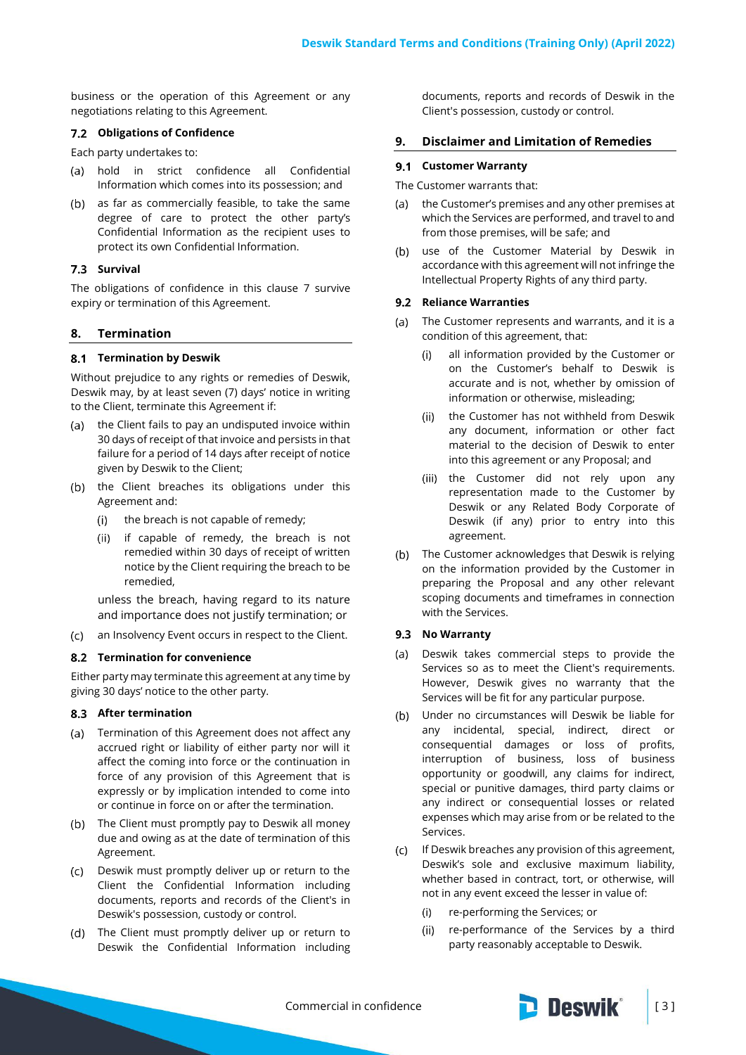business or the operation of this Agreement or any negotiations relating to this Agreement.

## **Obligations of Confidence**

Each party undertakes to:

- (a) hold in strict confidence all Confidential Information which comes into its possession; and
- (b) as far as commercially feasible, to take the same degree of care to protect the other party's Confidential Information as the recipient uses to protect its own Confidential Information.

## **7.3 Survival**

The obligations of confidence in this clause [7](#page-1-0) survive expiry or termination of this Agreement.

## **8. Termination**

#### **Termination by Deswik**

Without prejudice to any rights or remedies of Deswik, Deswik may, by at least seven (7) days' notice in writing to the Client, terminate this Agreement if:

- (a) the Client fails to pay an undisputed invoice within 30 days of receipt of that invoice and persists in that failure for a period of 14 days after receipt of notice given by Deswik to the Client;
- (b) the Client breaches its obligations under this Agreement and:
	- the breach is not capable of remedy;  $(i)$
	- if capable of remedy, the breach is not  $(ii)$ remedied within 30 days of receipt of written notice by the Client requiring the breach to be remedied,

unless the breach, having regard to its nature and importance does not justify termination; or

 $(C)$ an Insolvency Event occurs in respect to the Client.

## **8.2 Termination for convenience**

Either party may terminate this agreement at any time by giving 30 days' notice to the other party.

## **After termination**

- (a) Termination of this Agreement does not affect any accrued right or liability of either party nor will it affect the coming into force or the continuation in force of any provision of this Agreement that is expressly or by implication intended to come into or continue in force on or after the termination.
- (b) The Client must promptly pay to Deswik all money due and owing as at the date of termination of this Agreement.
- Deswik must promptly deliver up or return to the Client the Confidential Information including documents, reports and records of the Client's in Deswik's possession, custody or control.
- (d) The Client must promptly deliver up or return to Deswik the Confidential Information including

documents, reports and records of Deswik in the Client's possession, custody or control.

## **9. Disclaimer and Limitation of Remedies**

## **Customer Warranty**

The Customer warrants that:

- the Customer's premises and any other premises at  $(a)$ which the Services are performed, and travel to and from those premises, will be safe; and
- use of the Customer Material by Deswik in  $(b)$ accordance with this agreement will not infringe the Intellectual Property Rights of any third party.

## **9.2 Reliance Warranties**

- (a) The Customer represents and warrants, and it is a condition of this agreement, that:
	- all information provided by the Customer or on the Customer's behalf to Deswik is accurate and is not, whether by omission of information or otherwise, misleading;
	- (ii) the Customer has not withheld from Deswik any document, information or other fact material to the decision of Deswik to enter into this agreement or any Proposal; and
	- (iii) the Customer did not rely upon any representation made to the Customer by Deswik or any Related Body Corporate of Deswik (if any) prior to entry into this agreement.
- (b) The Customer acknowledges that Deswik is relying on the information provided by the Customer in preparing the Proposal and any other relevant scoping documents and timeframes in connection with the Services.

#### **9.3 No Warranty**

- Deswik takes commercial steps to provide the  $(a)$ Services so as to meet the Client's requirements. However, Deswik gives no warranty that the Services will be fit for any particular purpose.
- Under no circumstances will Deswik be liable for any incidental, special, indirect, direct or consequential damages or loss of profits, interruption of business, loss of business opportunity or goodwill, any claims for indirect, special or punitive damages, third party claims or any indirect or consequential losses or related expenses which may arise from or be related to the Services.
- If Deswik breaches any provision of this agreement, Deswik's sole and exclusive maximum liability, whether based in contract, tort, or otherwise, will not in any event exceed the lesser in value of:
	- re-performing the Services; or  $(i)$
	- (ii) re-performance of the Services by a third party reasonably acceptable to Deswik.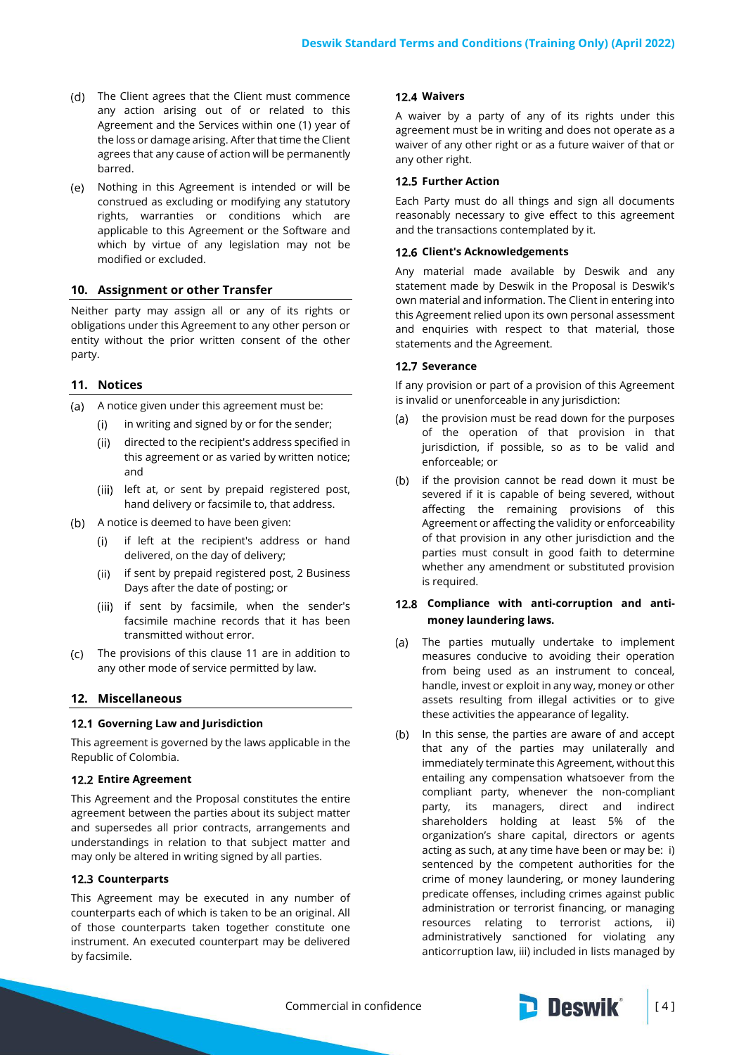- The Client agrees that the Client must commence any action arising out of or related to this Agreement and the Services within one (1) year of the loss or damage arising. After that time the Client agrees that any cause of action will be permanently barred.
- Nothing in this Agreement is intended or will be construed as excluding or modifying any statutory rights, warranties or conditions which are applicable to this Agreement or the Software and which by virtue of any legislation may not be modified or excluded.

## **10. Assignment or other Transfer**

Neither party may assign all or any of its rights or obligations under this Agreement to any other person or entity without the prior written consent of the other party.

## <span id="page-3-0"></span>**11. Notices**

- (a) A notice given under this agreement must be:
	- $(i)$ in writing and signed by or for the sender;
	- $(ii)$ directed to the recipient's address specified in this agreement or as varied by written notice; and
	- (iii) left at, or sent by prepaid registered post, hand delivery or facsimile to, that address.
- (b) A notice is deemed to have been given:
	- if left at the recipient's address or hand delivered, on the day of delivery;
	- if sent by prepaid registered post, 2 Business (ii) Days after the date of posting; or
	- (iii) if sent by facsimile, when the sender's facsimile machine records that it has been transmitted without error.
- The provisions of this clause [11](#page-3-0) are in addition to  $(c)$ any other mode of service permitted by law.

## **12. Miscellaneous**

#### **Governing Law and Jurisdiction**

This agreement is governed by the laws applicable in the Republic of Colombia.

#### **12.2 Entire Agreement**

This Agreement and the Proposal constitutes the entire agreement between the parties about its subject matter and supersedes all prior contracts, arrangements and understandings in relation to that subject matter and may only be altered in writing signed by all parties.

#### **12.3 Counterparts**

This Agreement may be executed in any number of counterparts each of which is taken to be an original. All of those counterparts taken together constitute one instrument. An executed counterpart may be delivered by facsimile.

#### **Waivers**

A waiver by a party of any of its rights under this agreement must be in writing and does not operate as a waiver of any other right or as a future waiver of that or any other right.

### **12.5 Further Action**

Each Party must do all things and sign all documents reasonably necessary to give effect to this agreement and the transactions contemplated by it.

## **Client's Acknowledgements**

Any material made available by Deswik and any statement made by Deswik in the Proposal is Deswik's own material and information. The Client in entering into this Agreement relied upon its own personal assessment and enquiries with respect to that material, those statements and the Agreement.

#### **12.7 Severance**

If any provision or part of a provision of this Agreement is invalid or unenforceable in any jurisdiction:

- the provision must be read down for the purposes  $(a)$ of the operation of that provision in that jurisdiction, if possible, so as to be valid and enforceable; or
- (b) if the provision cannot be read down it must be severed if it is capable of being severed, without affecting the remaining provisions of this Agreement or affecting the validity or enforceability of that provision in any other jurisdiction and the parties must consult in good faith to determine whether any amendment or substituted provision is required.

## **Compliance with anti-corruption and antimoney laundering laws.**

- The parties mutually undertake to implement measures conducive to avoiding their operation from being used as an instrument to conceal, handle, invest or exploit in any way, money or other assets resulting from illegal activities or to give these activities the appearance of legality.
- (b) In this sense, the parties are aware of and accept that any of the parties may unilaterally and immediately terminate this Agreement, without this entailing any compensation whatsoever from the compliant party, whenever the non-compliant party, its managers, direct and indirect shareholders holding at least 5% of the organization's share capital, directors or agents acting as such, at any time have been or may be: i) sentenced by the competent authorities for the crime of money laundering, or money laundering predicate offenses, including crimes against public administration or terrorist financing, or managing resources relating to terrorist actions, ii) administratively sanctioned for violating any anticorruption law, iii) included in lists managed by

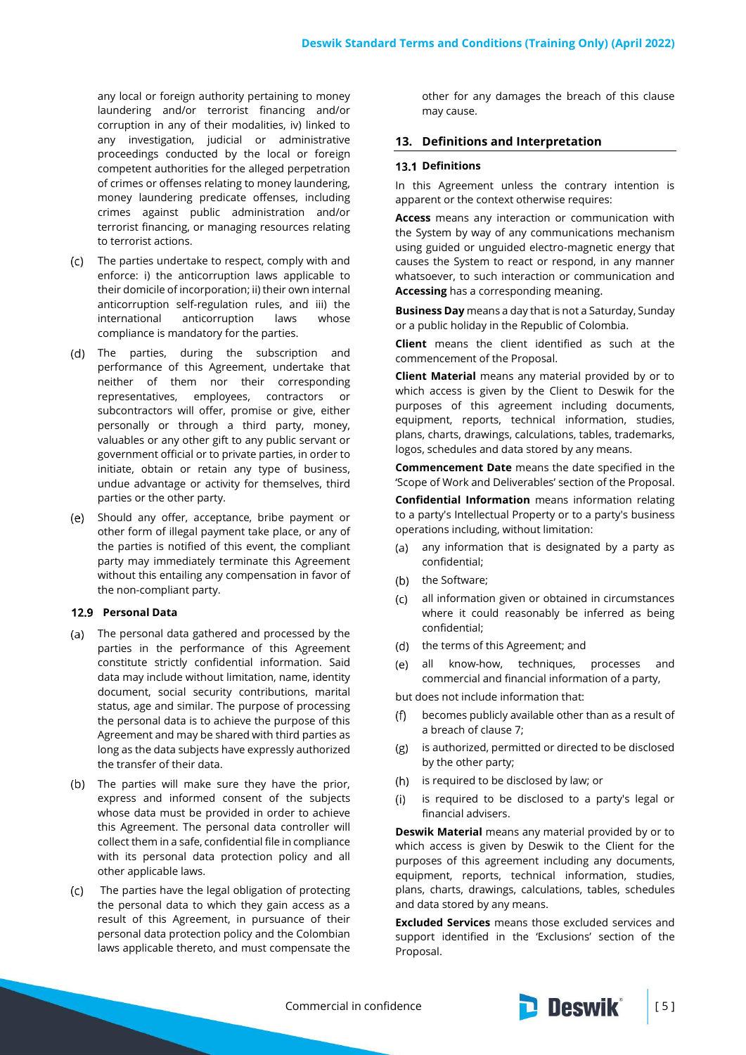any local or foreign authority pertaining to money laundering and/or terrorist financing and/or corruption in any of their modalities, iv) linked to any investigation, judicial or administrative proceedings conducted by the local or foreign competent authorities for the alleged perpetration of crimes or offenses relating to money laundering, money laundering predicate offenses, including crimes against public administration and/or terrorist financing, or managing resources relating to terrorist actions.

- The parties undertake to respect, comply with and enforce: i) the anticorruption laws applicable to their domicile of incorporation; ii) their own internal anticorruption self-regulation rules, and iii) the international anticorruption laws whose compliance is mandatory for the parties.
- The parties, during the subscription and performance of this Agreement, undertake that neither of them nor their corresponding representatives, employees, contractors or subcontractors will offer, promise or give, either personally or through a third party, money, valuables or any other gift to any public servant or government official or to private parties, in order to initiate, obtain or retain any type of business, undue advantage or activity for themselves, third parties or the other party.
- (e) Should any offer, acceptance, bribe payment or other form of illegal payment take place, or any of the parties is notified of this event, the compliant party may immediately terminate this Agreement without this entailing any compensation in favor of the non-compliant party.

### **Personal Data**

- The personal data gathered and processed by the parties in the performance of this Agreement constitute strictly confidential information. Said data may include without limitation, name, identity document, social security contributions, marital status, age and similar. The purpose of processing the personal data is to achieve the purpose of this Agreement and may be shared with third parties as long as the data subjects have expressly authorized the transfer of their data.
- (b) The parties will make sure they have the prior, express and informed consent of the subjects whose data must be provided in order to achieve this Agreement. The personal data controller will collect them in a safe, confidential file in compliance with its personal data protection policy and all other applicable laws.
- The parties have the legal obligation of protecting  $(c)$ the personal data to which they gain access as a result of this Agreement, in pursuance of their personal data protection policy and the Colombian laws applicable thereto, and must compensate the

other for any damages the breach of this clause may cause.

#### **13. Definitions and Interpretation**

#### **13.1 Definitions**

In this Agreement unless the contrary intention is apparent or the context otherwise requires:

**Access** means any interaction or communication with the System by way of any communications mechanism using guided or unguided electro-magnetic energy that causes the System to react or respond, in any manner whatsoever, to such interaction or communication and **Accessing** has a corresponding meaning.

**Business Day** means a day that is not a Saturday, Sunday or a public holiday in the Republic of Colombia.

**Client** means the client identified as such at the commencement of the Proposal.

**Client Material** means any material provided by or to which access is given by the Client to Deswik for the purposes of this agreement including documents, equipment, reports, technical information, studies, plans, charts, drawings, calculations, tables, trademarks, logos, schedules and data stored by any means.

**Commencement Date** means the date specified in the 'Scope of Work and Deliverables' section of the Proposal.

**Confidential Information** means information relating to a party's Intellectual Property or to a party's business operations including, without limitation:

- any information that is designated by a party as  $(a)$ confidential;
- (b) the Software;
- all information given or obtained in circumstances where it could reasonably be inferred as being confidential;
- (d) the terms of this Agreement; and
- $(e)$ all know-how, techniques, processes and commercial and financial information of a party,

but does not include information that:

- becomes publicly available other than as a result of a breach of clause [7;](#page-1-0)
- is authorized, permitted or directed to be disclosed  $(g)$ by the other party;
- (h) is required to be disclosed by law; or
- $(i)$ is required to be disclosed to a party's legal or financial advisers.

**Deswik Material** means any material provided by or to which access is given by Deswik to the Client for the purposes of this agreement including any documents, equipment, reports, technical information, studies, plans, charts, drawings, calculations, tables, schedules and data stored by any means.

**Excluded Services** means those excluded services and support identified in the 'Exclusions' section of the Proposal.